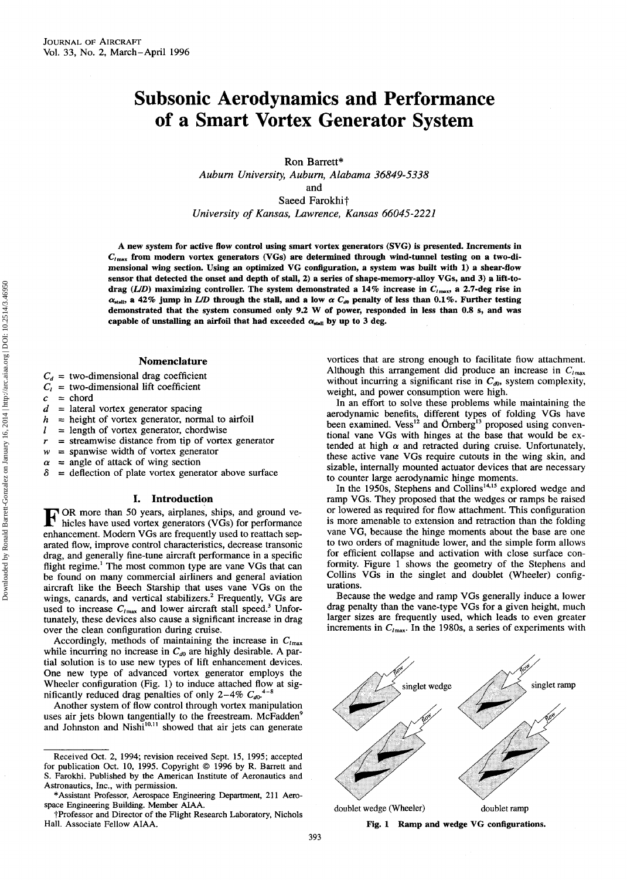# **Subsonic Aerodynamics and Performance of a Smart Vortex Generator System**

Ron Barrett\*

*Auburn University, Auburn, Alabama 36849-5338*

and

Saeed Farokhif *University of Kansas, Lawrence, Kansas 66045-2221*

**A new system for active flow control using smart vortex generators** (SVG) **is presented. Increments in C/max from modern vortex generators** (VGs) **are determined through wind-tunnel testing on a two-dimensional wing section. Using an optimized VG configuration, a system was built with 1) a shear-flow sensor that detected the onset and depth of stall, 2) a series of shape-memory-alloy VGs, and 3) a lift-todrag** *(L/D)* **maximizing controller. The system demonstrated a 14% increase in C/inax, a 2.7-deg rise in**  $\alpha_{\text{stall}}$ , a 42% jump in *L/D* through the stall, and a low  $\alpha C_{d0}$  penalty of less than 0.1%. Further testing **demonstrated that the system consumed only 9.2 W of power, responded hi less than 0.8 s, and was** capable of unstalling an airfoil that had exceeded  $\alpha_{\text{stall}}$  by up to 3 deg.

## **Nomenclature**

- 
- $C_d$  = two-dimensional drag coefficient<br> $C_l$  = two-dimensional lift coefficient = two-dimensional lift coefficient
- $c =$ chord<br> $d =$ lateral
- = lateral vortex generator spacing
- $h$  = height of vortex generator, normal to airfoil
- $l =$  length of vortex generator, chordwise
- $r =$  streamwise distance from tip of vortex generator
- $w =$  spanwise width of vortex generator
- $\alpha$  = angle of attack of wing section<br>  $\delta$  = deflection of plate vortex gener
- *8* = deflection of plate vortex generator above surface

# **I. Introduction**

F OR more than 50 years, airplanes, ships, and ground ve-<br>hicles have used vortex generators (VGs) for performance hicles have used vortex generators (VGs) for performance enhancement. Modern VGs are frequently used to reattach separated flow, improve control characteristics, decrease transonic drag, and generally fine-tune aircraft performance in a specific flight regime.<sup>1</sup> The most common type are vane VGs that can be found on many commercial airliners and general aviation aircraft like the Beech Starship that uses vane VGs on the wings, canards, and vertical stabilizers.<sup>2</sup> Frequently, VGs are used to increase  $C_{lmax}$  and lower aircraft stall speed.<sup>3</sup> Unfortunately, these devices also cause a significant increase in drag over the clean configuration during cruise.

Accordingly, methods of maintaining the increase in  $C_{lmax}$ while incurring no increase in  $C_{d0}$  are highly desirable. A partial solution is to use new types of lift enhancement devices. One new type of advanced vortex generator employs the Wheeler configuration (Fig. 1) to induce attached flow at significantly reduced drag penalties of only 2-4%  $C_{d0}$ <sup>4-8</sup>

Another system of flow control through vortex manipulation uses air jets blown tangentially to the freestream. McFadden<sup>9</sup> and Johnston and Nishi<sup>10,11</sup> showed that air jets can generate vortices that are strong enough to facilitate flow attachment. Although this arrangement did produce an increase in  $C_{lmax}$ without incurring a significant rise in  $C_{d0}$ , system complexity, weight, and power consumption were high.

In an effort to solve these problems while maintaining the aerodynamic benefits, different types of folding VGs have been examined. Vess<sup>12</sup> and Örnberg<sup>13</sup> proposed using conventional vane VGs with hinges at the base that would be extended at high  $\alpha$  and retracted during cruise. Unfortunately, these active vane VGs require cutouts in the wing skin, and sizable, internally mounted actuator devices that are necessary to counter large aerodynamic hinge moments.

In the 1950s, Stephens and Collins<sup>14,15</sup> explored wedge and ramp VGs. They proposed that the wedges or ramps be raised or lowered as required for flow attachment. This configuration is more amenable to extension and retraction than the folding vane VG, because the hinge moments about the base are one to two orders of magnitude lower, and the simple form allows for efficient collapse and activation with close surface conformity. Figure 1 shows the geometry of the Stephens and Collins VGs in the singlet and doublet (Wheeler) configurations.

Because the wedge and ramp VGs generally induce a lower drag penalty than the vane-type VGs for a given height, much larger sizes are frequently used, which leads to even greater increments in  $C_{lmax}$ . In the 1980s, a series of experiments with



**Fig. 1 Ramp and wedge VG configurations.**

Received Oct. 2, 1994; revision received Sept. 15, 1995; accepted for publication Oct. 10, 1995. Copyright © 1996 by R. Barrett and S. Farokhi. Published by the American Institute of Aeronautics and Astronautics, Inc., with permission.

<sup>\*</sup> Assistant Professor, Aerospace Engineering Department, 211 Aerospace Engineering Building. Member AIAA.

tProfessor and Director of the Flight Research Laboratory, Nichols Hall. Associate Fellow AIAA.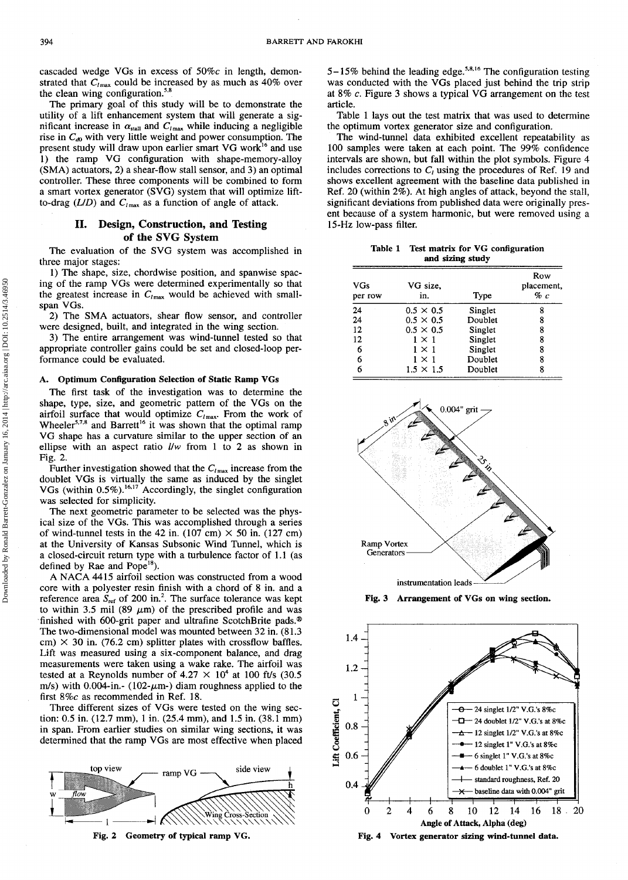cascaded wedge VGs in excess of 50%c in length, demonstrated that  $C_{lmax}$  could be increased by as much as 40% over the clean wing configuration. $5,8$ 

The primary goal of this study will be to demonstrate the utility of a lift enhancement system that will generate a significant increase in  $\alpha_{\text{stall}}$  and  $C_{l\text{max}}$  while inducing a negligible rise in  $C_{d0}$  with very little weight and power consumption. The present study will draw upon earlier smart VG work<sup>16</sup> and use 1) the ramp VG configuration with shape-memory-alloy (SMA) actuators, 2) a shear-flow stall sensor, and 3) an optimal controller. These three components will be combined to form a smart vortex generator (SVG) system that will optimize liftto-drag  $(L/D)$  and  $C<sub>lmax</sub>$  as a function of angle of attack.

# **II. Design, Construction, and Testing of the SVG System**

The evaluation of the SVG system was accomplished in three major stages:

1) The shape, size, chordwise position, and spanwise spacing of the ramp VGs were determined experimentally so that the greatest increase in  $C_{lmax}$  would be achieved with smallspan VGs.

2) The SMA actuators, shear flow sensor, and controller were designed, built, and integrated in the wing section.

3) The entire arrangement was wind-tunnel tested so that appropriate controller gains could be set and closed-loop performance could be evaluated.

### **A. Optimum Configuration Selection of Static Ramp VGs**

The first task of the investigation was to determine the shape, type, size, and geometric pattern of the VGs on the airfoil surface that would optimize  $C_{l\,\text{max}}$ . From the work of Wheeler<sup>5,7,8</sup> and Barrett<sup>16</sup> it was shown that the optimal ramp VG shape has a curvature similar to the upper section of an ellipse with an aspect ratio *l/w* from 1 to 2 as shown in Fig. 2.

Further investigation showed that the  $C_{l_{\text{max}}}$  increase from the doublet VGs is virtually the same as induced by the singlet VGs (within 0.5%).<sup>16,17</sup> Accordingly, the singlet configuration was selected for simplicity.

The next geometric parameter to be selected was the physical size of the VGs. This was accomplished through a series of wind-tunnel tests in the 42 in.  $(107 \text{ cm}) \times 50 \text{ in.} (127 \text{ cm})$ at the University of Kansas Subsonic Wind Tunnel, which is a closed-circuit return type with a turbulence factor of 1.1 (as defined by Rae and Pope<sup>18</sup>).

A NACA 4415 airfoil section was constructed from a wood core with a polyester resin finish with a chord of 8 in. and a reference area  $S_{\text{ref}}$  of 200 in.<sup>2</sup>. The surface tolerance was kept to within 3.5 mil (89  $\mu$ m) of the prescribed profile and was finished with 600-grit paper and ultrafine ScotchBrite pads.® The two-dimensional model was mounted between 32 in. (81.3 cm)  $\times$  30 in. (76.2 cm) splitter plates with crossflow baffles. Lift was measured using a six-component balance, and drag measurements were taken using a wake rake. The airfoil was tested at a Reynolds number of  $4.27 \times 10^4$  at 100 ft/s (30.5) m/s) with 0.004-in.- (102- $\mu$ m-) diam roughness applied to the first 8%c as recommended in Ref. 18.

Three different sizes of VGs were tested on the wing section: 0.5 in. (12.7 mm), 1 in. (25.4 mm), and 1.5 in. (38.1 mm) in span. From earlier studies on similar wing sections, it was determined that the ramp VGs are most effective when placed



**Fig. 2 Geometry of typical ramp VG. Fig. 4**

 $5-15\%$  behind the leading edge.<sup>5,8,16</sup> The configuration testing was conducted with the VGs placed just behind the trip strip at 8% *c.* Figure 3 shows a typical VG arrangement on the test article.

Table 1 lays out the test matrix that was used to determine the optimum vortex generator size and configuration.

The wind-tunnel data exhibited excellent repeatability as 100 samples were taken at each point. The 99% confidence intervals are shown, but fall within the plot symbols. Figure 4 includes corrections to  $C_i$  using the procedures of Ref. 19 and shows excellent agreement with the baseline data published in Ref. 20 (within 2%). At high angles of attack, beyond the stall, significant deviations from published data were originally present because of a system harmonic, but were removed using a 15-Hz low-pass filter.

**Table 1 Test matrix for VG configuration and sizing study**

| VGs<br>per row | VG size,<br>in.  | Type    | Row<br>placement,<br>% c |
|----------------|------------------|---------|--------------------------|
| 24             | $0.5 \times 0.5$ | Singlet | 8                        |
| 24             | $0.5 \times 0.5$ | Doublet | 8                        |
| 12             | $0.5 \times 0.5$ | Singlet | 8                        |
| 12             | $1 \times 1$     | Singlet | 8                        |
| 6              | $1 \times 1$     | Singlet | 8                        |
| 6              | $1 \times 1$     | Doublet | 8                        |
| 6              | $1.5 \times 1.5$ | Doublet | 8                        |



**Fig. 3 Arrangement of VGs on wing section.**

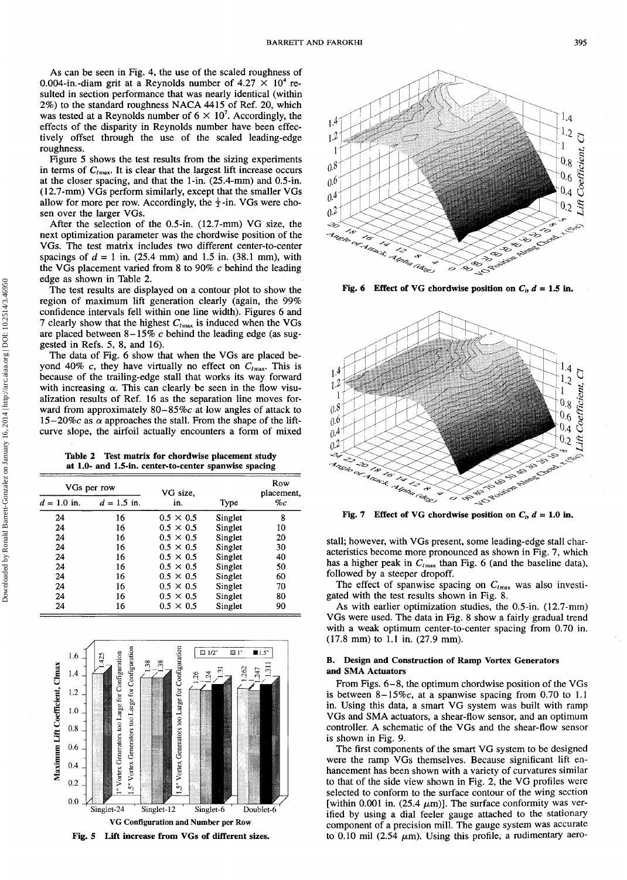As can be seen in Fig. 4, the use of the scaled roughness of 0.004-in.-diam grit at a Reynolds number of  $4.27 \times 10^4$  resulted in section performance that was nearly identical (within 2%) to the standard roughness NACA 4415 of Ref. 20, which was tested at a Reynolds number of  $6 \times 10^7$ . Accordingly, the effects of the disparity in Reynolds number have been effectively offset through the use of the scaled leading-edge roughness.

Figure 5 shows the test results from the sizing experiments in terms of *Ctmax.* It is clear that the largest lift increase occurs at the closer spacing, and that the 1-in. (25.4-mm) and 0.5-in. (12.7-mm) VGs perform similarly, except that the smaller VGs allow for more per row. Accordingly, the  $\frac{1}{2}$ -in. VGs were chosen over the larger VGs.

After the selection of the 0.5-in. (12.7-mm) VG size, the next optimization parameter was the chordwise position of the VGs. The test matrix includes two different center-to-center spacings of  $d = 1$  in. (25.4 mm) and 1.5 in. (38.1 mm), with the VGs placement varied from 8 to 90% *c* behind the leading edge as shown in Table 2.

The test results are displayed on a contour plot to show the region of maximum lift generation clearly (again, the 99% confidence intervals fell within one line width). Figures 6 and 7 clearly show that the highest  $C_{lmax}$  is induced when the VGs are placed between 8-15% *c* behind the leading edge (as suggested in Refs. 5, 8, and 16).

The data of Fig. 6 show that when the VGs are placed beyond 40% c, they have virtually no effect on  $C_{lmax}$ . This is because of the trailing-edge stall that works its way forward with increasing  $\alpha$ . This can clearly be seen in the flow visualization results of Ref. 16 as the separation line moves forward from approximately 80–85%c at low angles of attack to 15-20%c as  $\alpha$  approaches the stall. From the shape of the liftcurve slope, the airfoil actually encounters a form of mixed

**Table 2 Test matrix for chordwise placement study at 1.0- and 1.5-in. center-to-center spanwise spacing**

| VGs per row   |               | VG size.         |         | Row<br>placement, |
|---------------|---------------|------------------|---------|-------------------|
| $d = 1.0$ in. | $d = 1.5$ in. | in.              | Type    | $\%c$             |
| 24            | 16            | $0.5 \times 0.5$ | Singlet | 8                 |
| 24            | 16            | $0.5 \times 0.5$ | Singlet | 10                |
| 24            | 16            | $0.5 \times 0.5$ | Singlet | 20                |
| 24            | 16            | $0.5 \times 0.5$ | Singlet | 30                |
| 24            | 16            | $0.5 \times 0.5$ | Singlet | 40                |
| 24            | 16            | $0.5 \times 0.5$ | Singlet | 50                |
| 24            | 16            | $0.5 \times 0.5$ | Singlet | 60                |
| 24            | 16            | $0.5 \times 0.5$ | Singlet | 70                |
| 24            | 16            | $0.5 \times 0.5$ | Singlet | 80                |
| 24            | 16            | $0.5 \times 0.5$ | Singlet | 90                |





**Fig. 6** Effect of VG chordwise position on  $C_i$ ,  $d = 1.5$  in.



**Fig. 7** Effect of VG chordwise position on  $C_h$   $d = 1.0$  in.

stall; however, with VGs present, some leading-edge stall characteristics become more pronounced as shown in Fig. 7, which has a higher peak in  $C_{lmax}$  than Fig. 6 (and the baseline data), followed by a steeper dropoff.

The effect of spanwise spacing on  $C_{lmax}$  was also investigated with the test results shown in Fig. 8.

As with earlier optimization studies, the 0.5-in. (12.7-mm) VGs were used. The data in Fig. 8 show a fairly gradual trend with a weak optimum center-to-center spacing from 0.70 in. (17.8 mm) to 1.1 in. (27.9 mm).

## **B. Design and Construction of Ramp Vortex Generators and SMA Actuators**

From Figs. 6-8, the optimum chordwise position of the VGs is between  $8-15\%c$ , at a spanwise spacing from 0.70 to 1.1 in. Using this data, a smart VG system was built with ramp VGs and SMA actuators, a shear-flow sensor, and an optimum controller. A schematic of the VGs and the shear-flow sensor is shown in Fig. 9.

The first components of the smart VG system to be designed were the ramp VGs themselves. Because significant lift enhancement has been shown with a variety of curvatures similar to that of the side view shown in Fig. 2, the VG profiles were selected to conform to the surface contour of the wing section [within 0.001 in. (25.4  $\mu$ m)]. The surface conformity was verified by using a dial feeler gauge attached to the stationary component of a precision mill. The gauge system was accurate to 0.10 mil (2.54  $\mu$ m). Using this profile, a rudimentary aero-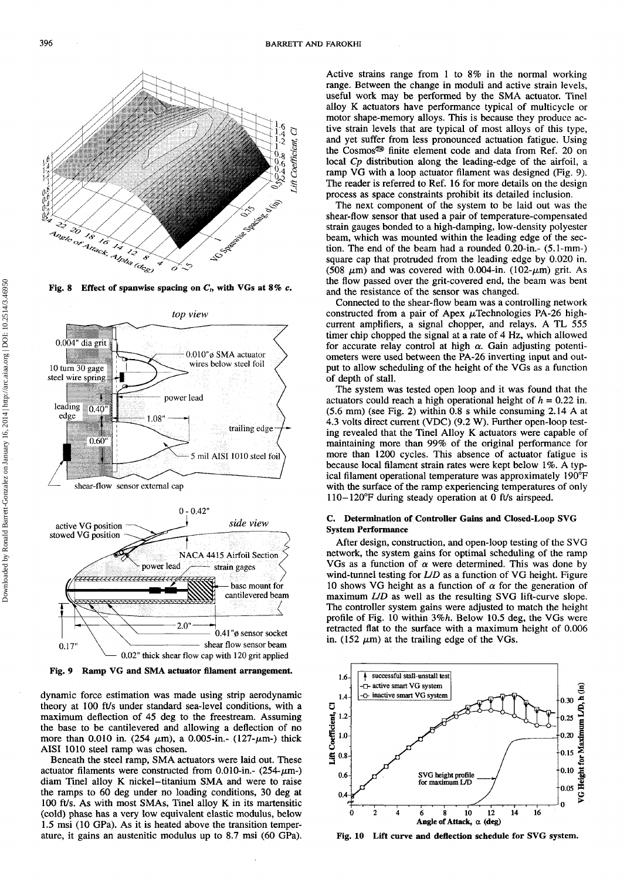

**Fig. 8 Effect of spanwise spacing on C/, with VGs at 8%** *c.*



**Fig. 9 Ramp VG and** SMA **actuator filament arrangement.**

dynamic force estimation was made using strip aerodynamic theory at 100 ft/s under standard sea-level conditions, with a maximum deflection of 45 deg to the freestream. Assuming the base to be cantilevered and allowing a deflection of no more than 0.010 in. (254  $\mu$ m), a 0.005-in.- (127- $\mu$ m-) thick AISI 1010 steel ramp was chosen.

Beneath the steel ramp, SMA actuators were laid out. These actuator filaments were constructed from 0.010-in.-  $(254-\mu m)$ diam Tinel alloy K nickel-titanium SMA and were to raise the ramps to 60 deg under no loading conditions, 30 deg at 100 ft/s. As with most SMAs, Tinel alloy K in its martensitic (cold) phase has a very low equivalent elastic modulus, below 1.5 msi (10 GPa). As it is heated above the transition temperature, it gains an austenitic modulus up to 8.7 msi (60 GPa). Active strains range from 1 to 8% in the normal working range. Between the change in moduli and active strain levels, useful work may be performed by the SMA actuator. Tinel alloy K actuators have performance typical of multicycle or motor shape-memory alloys. This is because they produce active strain levels that are typical of most alloys of this type, and yet suffer from less pronounced actuation fatigue. Using the Cosmos® finite element code and data from Ref. 20 on local *Cp* distribution along the leading-edge of the airfoil, a ramp VG with a loop actuator filament was designed (Fig. 9). The reader is referred to Ref. 16 for more details on the design process as space constraints prohibit its detailed inclusion.

The next component of the system to be laid out was the shear-flow sensor that used a pair of temperature-compensated strain gauges bonded to a high-damping, low-density polyester beam, which was mounted within the leading edge of the section. The end of the beam had a rounded 0.20-in.- (5.1-mm-) square cap that protruded from the leading edge by 0.020 in. (508  $\mu$ m) and was covered with 0.004-in. (102- $\mu$ m) grit. As the flow passed over the grit-covered end, the beam was bent and the resistance of the sensor was changed.

Connected to the shear-flow beam was a controlling network constructed from a pair of Apex  $\mu$ Technologies PA-26 highcurrent amplifiers, a signal chopper, and relays. A TL 555 timer chip chopped the signal at a rate of 4 Hz, which allowed for accurate relay control at high  $\alpha$ . Gain adjusting potentiometers were used between the PA-26 inverting input and output to allow scheduling of the height of the VGs as a function of depth of stall.

The system was tested open loop and it was found that the actuators could reach a high operational height of  $h = 0.22$  in. (5.6 mm) (see Fig. 2) within 0.8 s while consuming 2.14 A at 4.3 volts direct current (VDC) (9.2 W). Further open-loop testing revealed that the Tinel Alloy K actuators were capable of maintaining more than 99% of the original performance for more than 1200 cycles. This absence of actuator fatigue is because local filament strain rates were kept below 1%. A typical filament operational temperature was approximately 190°F with the surface of the ramp experiencing temperatures of only 110-120°F during steady operation at 0 ft/s airspeed.

# **C. Determination of Controller Gains and Closed-Loop SVG System Performance**

After design, construction, and open-loop testing of the SVG network, the system gains for optimal scheduling of the ramp VGs as a function of  $\alpha$  were determined. This was done by wind-tunnel testing for *LID* as a function of VG height. Figure 10 shows VG height as a function of  $\alpha$  for the generation of maximum *LID* as well as the resulting SVG lift-curve slope. The controller system gains were adjusted to match the height profile of Fig. 10 within *3%h.* Below 10.5 deg, the VGs were retracted flat to the surface with a maximum height of 0.006 in. (152  $\mu$ m) at the trailing edge of the VGs.



**Fig. 10 Lift curve and deflection schedule for SVG system.**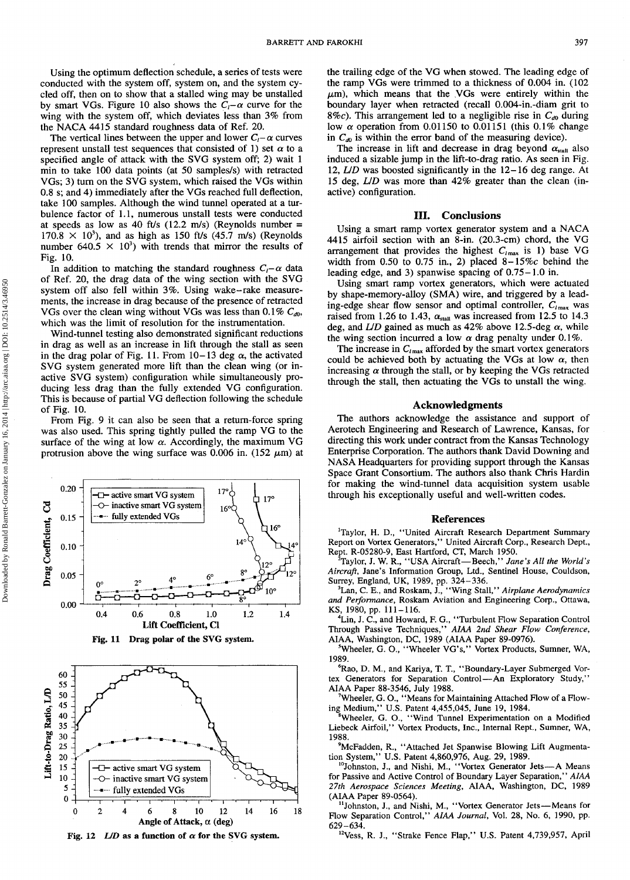Using the optimum deflection schedule, a series of tests were conducted with the system off, system on, and the system cycled off, then on to show that a stalled wing may be unstalled by smart VGs. Figure 10 also shows the  $C<sub>t</sub> - \alpha$  curve for the wing with the system off, which deviates less than 3% from the NACA 4415 standard roughness data of Ref. 20.

The vertical lines between the upper and lower  $C_i - \alpha$  curves represent unstall test sequences that consisted of 1) set  $\alpha$  to a specified angle of attack with the SVG system off; 2) wait 1 min to take 100 data points (at 50 samples/s) with retracted VGs; 3) turn on the SVG system, which raised the VGs within 0.8 s; and 4) immediately after the VGs reached full deflection, take 100 samples. Although the wind tunnel operated at a turbulence factor of 1.1, numerous unstall tests were conducted at speeds as low as 40 ft/s (12.2 m/s) (Reynolds number =  $170.8 \times 10^3$ ), and as high as 150 ft/s (45.7 m/s) (Reynolds number 640.5  $\times$  10<sup>3</sup>) with trends that mirror the results of Fig. 10.

In addition to matching the standard roughness  $C_i - \alpha$  data of Ref. 20, the drag data of the wing section with the SVG system off also fell within 3%. Using wake-rake measurements, the increase in drag because of the presence of retracted VGs over the clean wing without VGs was less than 0.1%  $C_{d0}$ , which was the limit of resolution for the instrumentation.

Wind-tunnel testing also demonstrated significant reductions in drag as well as an increase in lift through the stall as seen in the drag polar of Fig. 11. From  $10-13$  deg  $\alpha$ , the activated SVG system generated more lift than the clean wing (or inactive SVG system) configuration while simultaneously producing less drag than the fully extended VG configuration. This is because of partial VG deflection following the schedule of Fig. 10.

From Fig. 9 it can also be seen that a return-force spring was also used. This spring tightly pulled the ramp VG to the surface of the wing at low  $\alpha$ . Accordingly, the maximum VG protrusion above the wing surface was 0.006 in.  $(152 \mu m)$  at







**Fig. 12**  $L/D$  as a function of  $\alpha$  for the SVG system.

the trailing edge of the VG when stowed. The leading edge of the ramp VGs were trimmed to a thickness of 0.004 in. (102  $\mu$ m), which means that the VGs were entirely within the boundary layer when retracted (recall 0.004-in.-diam grit to 8%c). This arrangement led to a negligible rise in  $C_{d0}$  during low  $\alpha$  operation from 0.01150 to 0.01151 (this 0.1% change in  $C_{d0}$  is within the error band of the measuring device).

The increase in lift and decrease in drag beyond  $\alpha_{\text{stall}}$  also induced a sizable jump in the lift-to-drag ratio. As seen in Fig. 12, *LID* was boosted significantly in the 12-16 deg range. At 15 deg, *LID* was more than 42% greater than the clean (inactive) configuration.

## **III. Conclusions**

Using a smart ramp vortex generator system and a NACA 4415 airfoil section with an 8-in. (20.3-cm) chord, the VG arrangement that provides the highest  $C_{lmax}$  is 1) base VG width from 0.50 to 0.75 in., 2) placed  $8-15\%c$  behind the leading edge, and 3) spanwise spacing of 0.75-1.0 in.

Using smart ramp vortex generators, which were actuated by shape-memory-alloy (SMA) wire, and triggered by a leading-edge shear flow sensor and optimal controller,  $C_{lmax}$  was raised from 1.26 to 1.43,  $\alpha_{\text{stall}}$  was increased from 12.5 to 14.3 deg, and  $LD$  gained as much as  $42\%$  above 12.5-deg  $\alpha$ , while the wing section incurred a low  $\alpha$  drag penalty under 0.1%.

The increase in  $C_{lmax}$  afforded by the smart vortex generators could be achieved both by actuating the VGs at low  $\alpha$ , then increasing  $\alpha$  through the stall, or by keeping the VGs retracted through the stall, then actuating the VGs to unstall the wing.

## **Acknowledgments**

The authors acknowledge the assistance and support of Aerotech Engineering and Research of Lawrence, Kansas, for directing this work under contract from the Kansas Technology Enterprise Corporation. The authors thank David Downing and NASA Headquarters for providing support through the Kansas Space Grant Consortium. The authors also thank Chris Hardin for making the wind-tunnel data acquisition system usable through his exceptionally useful and well-written codes.

#### **References**

<sup>1</sup>Taylor, H. D., "United Aircraft Research Department Summary Report on Vortex Generators," United Aircraft Corp., Research Dept., Rept. R-05280-9, East Hartford, CT, March 1950.

<sup>2</sup>Taylor, J. W. R, "USA Aircraft—Beech," *Jane's All the World's Aircraft,* Jane's Information Group, Ltd., Sentinel House, Couldson, Surrey, England, UK, 1989, pp. 324-336.

<sup>3</sup>Lan, C. E., and Roskam, J., "Wing Stall," *Airplane Aerodynamics and Performance,* Roskam Aviation and Engineering Corp., Ottawa, KS, 1980, pp. 111-116.

<sup>4</sup>Lin, J. C., and Howard, F. G., "Turbulent Flow Separation Control Through Passive Techniques," *AIAA 2nd Shear Flow Conference,* AIAA, Washington, DC, 1989 (AIAA Paper 89-0976).

<sup>5</sup>Wheeler, G. O., "Wheeler VG's," Vortex Products, Sumner, WA, 1989.

<sup>6</sup>Rao, D. M., and Kariya, T. T., "Boundary-Layer Submerged Vortex Generators for Separation Control—An Exploratory Study,"

AIAA Paper 88-3546, July 1988. <sup>7</sup>Wheeler, G. O., "Means for Maintaining Attached Flow of a Flowing Medium," U.S. Patent 4,455,045, June 19, 1984.

<sup>8</sup>Wheeler, G. O., "Wind Tunnel Experimentation on a Modified Liebeck Airfoil," Vortex Products, Inc., Internal Rept., Sumner, WA, 1988.

<sup>9</sup>McFadden, R., "Attached Jet Spanwise Blowing Lift Augmenta-

tion System," U.S. Patent 4,860,976, Aug. 29, 1989.<br><sup>10</sup>Johnston, J., and Nishi, M., "Vortex Generator Jets—A Means for Passive and Active Control of Boundary Layer Separation," *AIAA 27th Aerospace Sciences Meeting,* AIAA, Washington, DC, 1989 (AIAA Paper 89-0564).

<sup>11</sup>Johnston, J., and Nishi, M., "Vortex Generator Jets-Means for Flow Separation Control," *AIAA Journal,* Vol. 28, No. 6, 1990, pp. 629-634.

<sup>12</sup>Vess, R. J., "Strake Fence Flap," U.S. Patent 4,739,957, April